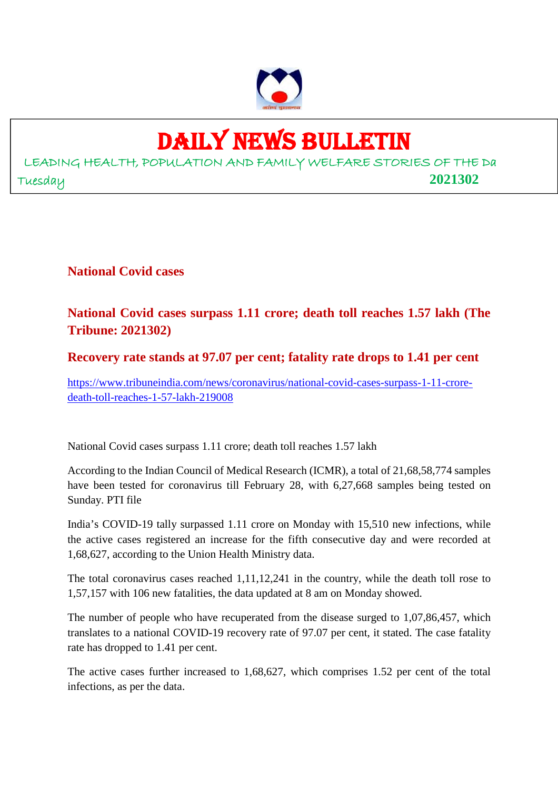

## DAILY NEWS BULLETIN

LEADING HEALTH, POPULATION AND FAMILY WELFARE STORIES OF THE Da Tuesday **2021302**

**National Covid cases**

### **National Covid cases surpass 1.11 crore; death toll reaches 1.57 lakh (The Tribune: 2021302)**

### **Recovery rate stands at 97.07 per cent; fatality rate drops to 1.41 per cent**

https://www.tribuneindia.com/news/coronavirus/national-covid-cases-surpass-1-11-croredeath-toll-reaches-1-57-lakh-219008

National Covid cases surpass 1.11 crore; death toll reaches 1.57 lakh

According to the Indian Council of Medical Research (ICMR), a total of 21,68,58,774 samples have been tested for coronavirus till February 28, with 6,27,668 samples being tested on Sunday. PTI file

India's COVID-19 tally surpassed 1.11 crore on Monday with 15,510 new infections, while the active cases registered an increase for the fifth consecutive day and were recorded at 1,68,627, according to the Union Health Ministry data.

The total coronavirus cases reached 1,11,12,241 in the country, while the death toll rose to 1,57,157 with 106 new fatalities, the data updated at 8 am on Monday showed.

The number of people who have recuperated from the disease surged to 1,07,86,457, which translates to a national COVID-19 recovery rate of 97.07 per cent, it stated. The case fatality rate has dropped to 1.41 per cent.

The active cases further increased to 1,68,627, which comprises 1.52 per cent of the total infections, as per the data.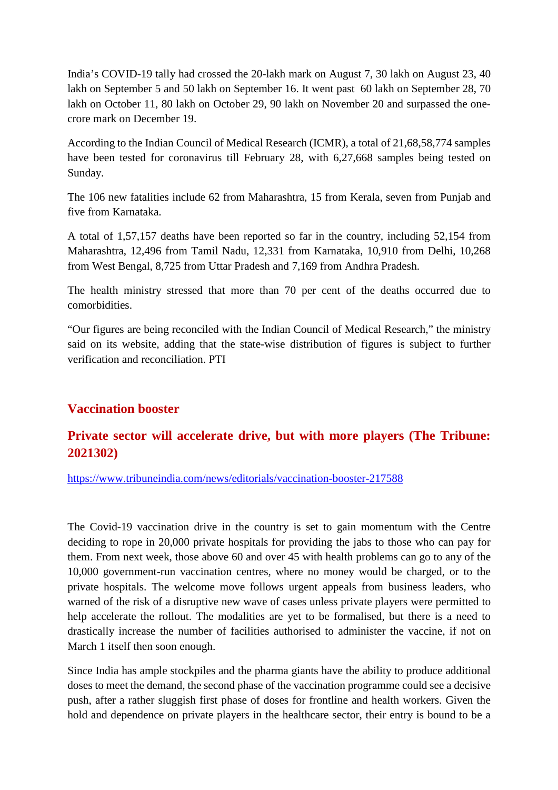India's COVID-19 tally had crossed the 20-lakh mark on August 7, 30 lakh on August 23, 40 lakh on September 5 and 50 lakh on September 16. It went past 60 lakh on September 28, 70 lakh on October 11, 80 lakh on October 29, 90 lakh on November 20 and surpassed the onecrore mark on December 19.

According to the Indian Council of Medical Research (ICMR), a total of 21,68,58,774 samples have been tested for coronavirus till February 28, with 6,27,668 samples being tested on Sunday.

The 106 new fatalities include 62 from Maharashtra, 15 from Kerala, seven from Punjab and five from Karnataka.

A total of 1,57,157 deaths have been reported so far in the country, including 52,154 from Maharashtra, 12,496 from Tamil Nadu, 12,331 from Karnataka, 10,910 from Delhi, 10,268 from West Bengal, 8,725 from Uttar Pradesh and 7,169 from Andhra Pradesh.

The health ministry stressed that more than 70 per cent of the deaths occurred due to comorbidities.

"Our figures are being reconciled with the Indian Council of Medical Research," the ministry said on its website, adding that the state-wise distribution of figures is subject to further verification and reconciliation. PTI

### **Vaccination booster**

### **Private sector will accelerate drive, but with more players (The Tribune: 2021302)**

https://www.tribuneindia.com/news/editorials/vaccination-booster-217588

The Covid-19 vaccination drive in the country is set to gain momentum with the Centre deciding to rope in 20,000 private hospitals for providing the jabs to those who can pay for them. From next week, those above 60 and over 45 with health problems can go to any of the 10,000 government-run vaccination centres, where no money would be charged, or to the private hospitals. The welcome move follows urgent appeals from business leaders, who warned of the risk of a disruptive new wave of cases unless private players were permitted to help accelerate the rollout. The modalities are yet to be formalised, but there is a need to drastically increase the number of facilities authorised to administer the vaccine, if not on March 1 itself then soon enough.

Since India has ample stockpiles and the pharma giants have the ability to produce additional doses to meet the demand, the second phase of the vaccination programme could see a decisive push, after a rather sluggish first phase of doses for frontline and health workers. Given the hold and dependence on private players in the healthcare sector, their entry is bound to be a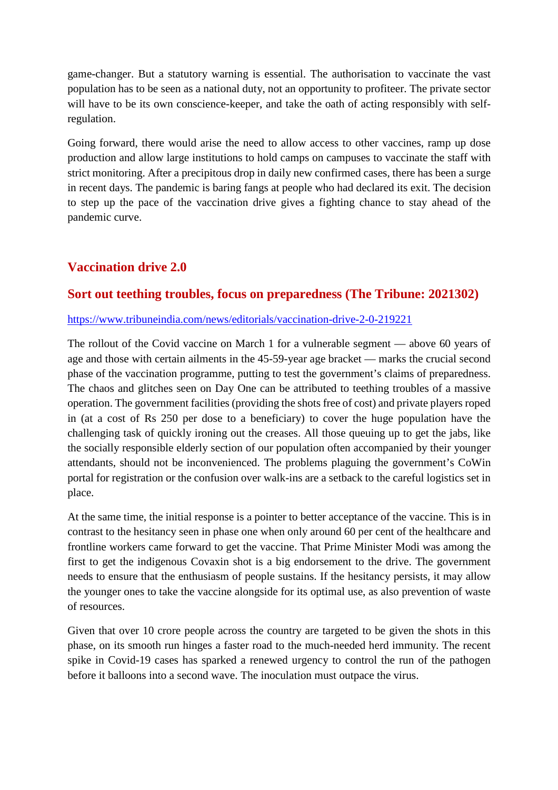game-changer. But a statutory warning is essential. The authorisation to vaccinate the vast population has to be seen as a national duty, not an opportunity to profiteer. The private sector will have to be its own conscience-keeper, and take the oath of acting responsibly with selfregulation.

Going forward, there would arise the need to allow access to other vaccines, ramp up dose production and allow large institutions to hold camps on campuses to vaccinate the staff with strict monitoring. After a precipitous drop in daily new confirmed cases, there has been a surge in recent days. The pandemic is baring fangs at people who had declared its exit. The decision to step up the pace of the vaccination drive gives a fighting chance to stay ahead of the pandemic curve.

### **Vaccination drive 2.0**

### **Sort out teething troubles, focus on preparedness (The Tribune: 2021302)**

### https://www.tribuneindia.com/news/editorials/vaccination-drive-2-0-219221

The rollout of the Covid vaccine on March 1 for a vulnerable segment — above 60 years of age and those with certain ailments in the 45-59-year age bracket — marks the crucial second phase of the vaccination programme, putting to test the government's claims of preparedness. The chaos and glitches seen on Day One can be attributed to teething troubles of a massive operation. The government facilities (providing the shots free of cost) and private players roped in (at a cost of Rs 250 per dose to a beneficiary) to cover the huge population have the challenging task of quickly ironing out the creases. All those queuing up to get the jabs, like the socially responsible elderly section of our population often accompanied by their younger attendants, should not be inconvenienced. The problems plaguing the government's CoWin portal for registration or the confusion over walk-ins are a setback to the careful logistics set in place.

At the same time, the initial response is a pointer to better acceptance of the vaccine. This is in contrast to the hesitancy seen in phase one when only around 60 per cent of the healthcare and frontline workers came forward to get the vaccine. That Prime Minister Modi was among the first to get the indigenous Covaxin shot is a big endorsement to the drive. The government needs to ensure that the enthusiasm of people sustains. If the hesitancy persists, it may allow the younger ones to take the vaccine alongside for its optimal use, as also prevention of waste of resources.

Given that over 10 crore people across the country are targeted to be given the shots in this phase, on its smooth run hinges a faster road to the much-needed herd immunity. The recent spike in Covid-19 cases has sparked a renewed urgency to control the run of the pathogen before it balloons into a second wave. The inoculation must outpace the virus.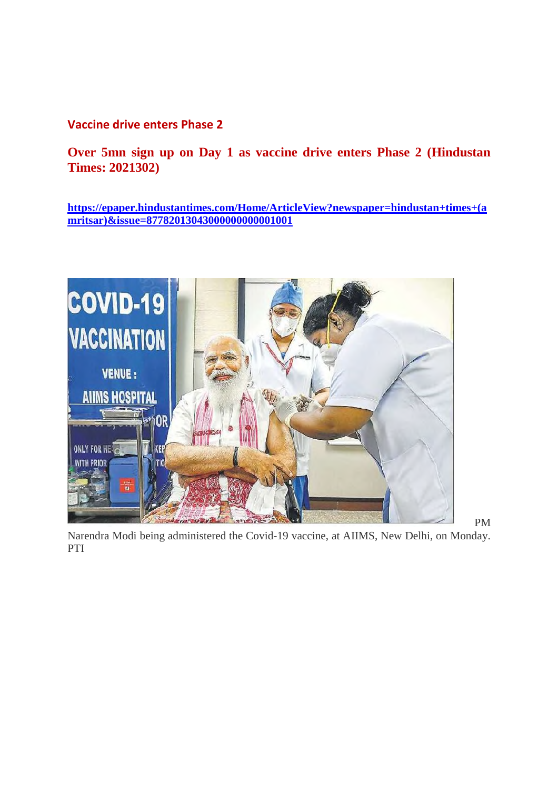**Vaccine drive enters Phase 2**

**Over 5mn sign up on Day 1 as vaccine drive enters Phase 2 (Hindustan Times: 2021302)**

**https://epaper.hindustantimes.com/Home/ArticleView?newspaper=hindustan+times+(a mritsar)&issue=87782013043000000000001001**



Narendra Modi being administered the Covid-19 vaccine, at AIIMS, New Delhi, on Monday. PTI

PM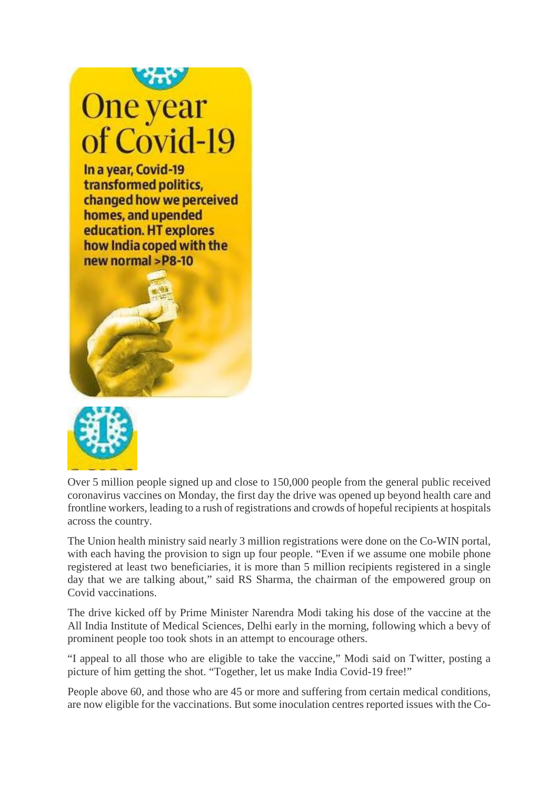



Over 5 million people signed up and close to 150,000 people from the general public received coronavirus vaccines on Monday, the first day the drive was opened up beyond health care and frontline workers, leading to a rush of registrations and crowds of hopeful recipients at hospitals across the country.

The Union health ministry said nearly 3 million registrations were done on the Co-WIN portal, with each having the provision to sign up four people. "Even if we assume one mobile phone registered at least two beneficiaries, it is more than 5 million recipients registered in a single day that we are talking about," said RS Sharma, the chairman of the empowered group on Covid vaccinations.

The drive kicked off by Prime Minister Narendra Modi taking his dose of the vaccine at the All India Institute of Medical Sciences, Delhi early in the morning, following which a bevy of prominent people too took shots in an attempt to encourage others.

"I appeal to all those who are eligible to take the vaccine," Modi said on Twitter, posting a picture of him getting the shot. "Together, let us make India Covid-19 free!"

People above 60, and those who are 45 or more and suffering from certain medical conditions, are now eligible for the vaccinations. But some inoculation centres reported issues with the Co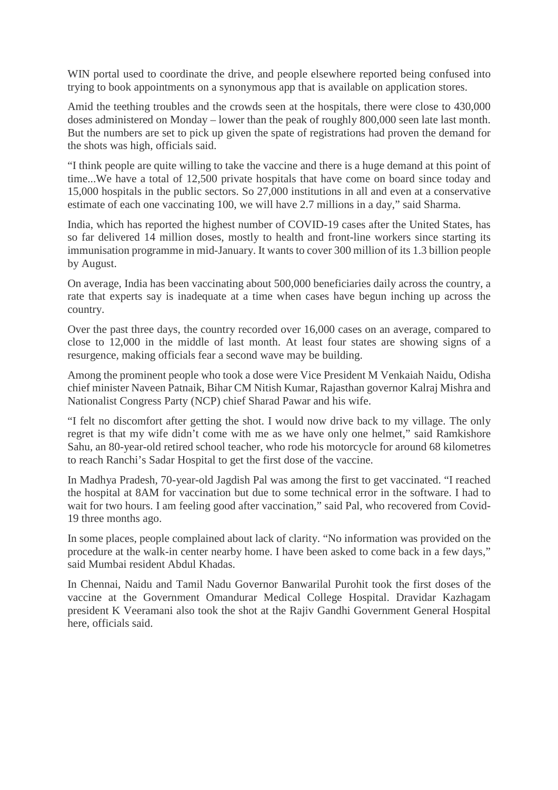WIN portal used to coordinate the drive, and people elsewhere reported being confused into trying to book appointments on a synonymous app that is available on application stores.

Amid the teething troubles and the crowds seen at the hospitals, there were close to 430,000 doses administered on Monday – lower than the peak of roughly 800,000 seen late last month. But the numbers are set to pick up given the spate of registrations had proven the demand for the shots was high, officials said.

"I think people are quite willing to take the vaccine and there is a huge demand at this point of time...We have a total of 12,500 private hospitals that have come on board since today and 15,000 hospitals in the public sectors. So 27,000 institutions in all and even at a conservative estimate of each one vaccinating 100, we will have 2.7 millions in a day," said Sharma.

India, which has reported the highest number of COVID-19 cases after the United States, has so far delivered 14 million doses, mostly to health and front-line workers since starting its immunisation programme in mid-January. It wants to cover 300 million of its 1.3 billion people by August.

On average, India has been vaccinating about 500,000 beneficiaries daily across the country, a rate that experts say is inadequate at a time when cases have begun inching up across the country.

Over the past three days, the country recorded over 16,000 cases on an average, compared to close to 12,000 in the middle of last month. At least four states are showing signs of a resurgence, making officials fear a second wave may be building.

Among the prominent people who took a dose were Vice President M Venkaiah Naidu, Odisha chief minister Naveen Patnaik, Bihar CM Nitish Kumar, Rajasthan governor Kalraj Mishra and Nationalist Congress Party (NCP) chief Sharad Pawar and his wife.

"I felt no discomfort after getting the shot. I would now drive back to my village. The only regret is that my wife didn't come with me as we have only one helmet," said Ramkishore Sahu, an 80-year-old retired school teacher, who rode his motorcycle for around 68 kilometres to reach Ranchi's Sadar Hospital to get the first dose of the vaccine.

In Madhya Pradesh, 70-year-old Jagdish Pal was among the first to get vaccinated. "I reached the hospital at 8AM for vaccination but due to some technical error in the software. I had to wait for two hours. I am feeling good after vaccination," said Pal, who recovered from Covid-19 three months ago.

In some places, people complained about lack of clarity. "No information was provided on the procedure at the walk-in center nearby home. I have been asked to come back in a few days," said Mumbai resident Abdul Khadas.

In Chennai, Naidu and Tamil Nadu Governor Banwarilal Purohit took the first doses of the vaccine at the Government Omandurar Medical College Hospital. Dravidar Kazhagam president K Veeramani also took the shot at the Rajiv Gandhi Government General Hospital here, officials said.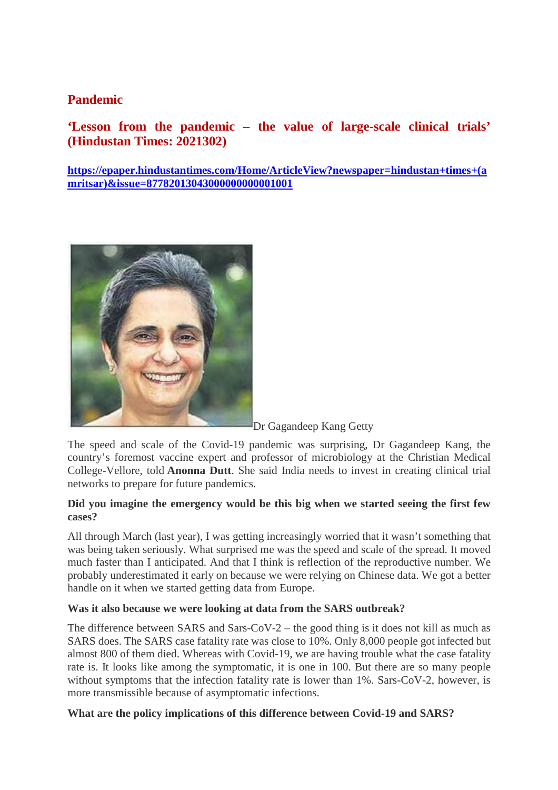### **Pandemic**

### **'Lesson from the pandemic – the value of large-scale clinical trials' (Hindustan Times: 2021302)**

**https://epaper.hindustantimes.com/Home/ArticleView?newspaper=hindustan+times+(a mritsar)&issue=87782013043000000000001001**



Dr Gagandeep Kang Getty

The speed and scale of the Covid-19 pandemic was surprising, Dr Gagandeep Kang, the country's foremost vaccine expert and professor of microbiology at the Christian Medical College-Vellore, told **Anonna Dutt**. She said India needs to invest in creating clinical trial networks to prepare for future pandemics.

### **Did you imagine the emergency would be this big when we started seeing the first few cases?**

All through March (last year), I was getting increasingly worried that it wasn't something that was being taken seriously. What surprised me was the speed and scale of the spread. It moved much faster than I anticipated. And that I think is reflection of the reproductive number. We probably underestimated it early on because we were relying on Chinese data. We got a better handle on it when we started getting data from Europe.

### **Was it also because we were looking at data from the SARS outbreak?**

The difference between SARS and Sars-CoV-2 – the good thing is it does not kill as much as SARS does. The SARS case fatality rate was close to 10%. Only 8,000 people got infected but almost 800 of them died. Whereas with Covid-19, we are having trouble what the case fatality rate is. It looks like among the symptomatic, it is one in 100. But there are so many people without symptoms that the infection fatality rate is lower than 1%. Sars-CoV-2, however, is more transmissible because of asymptomatic infections.

### **What are the policy implications of this difference between Covid-19 and SARS?**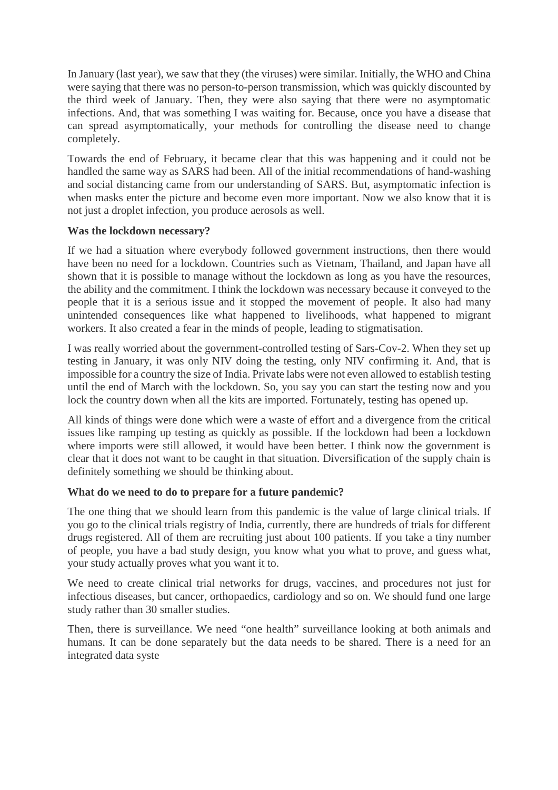In January (last year), we saw that they (the viruses) were similar. Initially, the WHO and China were saying that there was no person-to-person transmission, which was quickly discounted by the third week of January. Then, they were also saying that there were no asymptomatic infections. And, that was something I was waiting for. Because, once you have a disease that can spread asymptomatically, your methods for controlling the disease need to change completely.

Towards the end of February, it became clear that this was happening and it could not be handled the same way as SARS had been. All of the initial recommendations of hand-washing and social distancing came from our understanding of SARS. But, asymptomatic infection is when masks enter the picture and become even more important. Now we also know that it is not just a droplet infection, you produce aerosols as well.

### **Was the lockdown necessary?**

If we had a situation where everybody followed government instructions, then there would have been no need for a lockdown. Countries such as Vietnam, Thailand, and Japan have all shown that it is possible to manage without the lockdown as long as you have the resources, the ability and the commitment. I think the lockdown was necessary because it conveyed to the people that it is a serious issue and it stopped the movement of people. It also had many unintended consequences like what happened to livelihoods, what happened to migrant workers. It also created a fear in the minds of people, leading to stigmatisation.

I was really worried about the government-controlled testing of Sars-Cov-2. When they set up testing in January, it was only NIV doing the testing, only NIV confirming it. And, that is impossible for a country the size of India. Private labs were not even allowed to establish testing until the end of March with the lockdown. So, you say you can start the testing now and you lock the country down when all the kits are imported. Fortunately, testing has opened up.

All kinds of things were done which were a waste of effort and a divergence from the critical issues like ramping up testing as quickly as possible. If the lockdown had been a lockdown where imports were still allowed, it would have been better. I think now the government is clear that it does not want to be caught in that situation. Diversification of the supply chain is definitely something we should be thinking about.

### **What do we need to do to prepare for a future pandemic?**

The one thing that we should learn from this pandemic is the value of large clinical trials. If you go to the clinical trials registry of India, currently, there are hundreds of trials for different drugs registered. All of them are recruiting just about 100 patients. If you take a tiny number of people, you have a bad study design, you know what you what to prove, and guess what, your study actually proves what you want it to.

We need to create clinical trial networks for drugs, vaccines, and procedures not just for infectious diseases, but cancer, orthopaedics, cardiology and so on. We should fund one large study rather than 30 smaller studies.

Then, there is surveillance. We need "one health" surveillance looking at both animals and humans. It can be done separately but the data needs to be shared. There is a need for an integrated data syste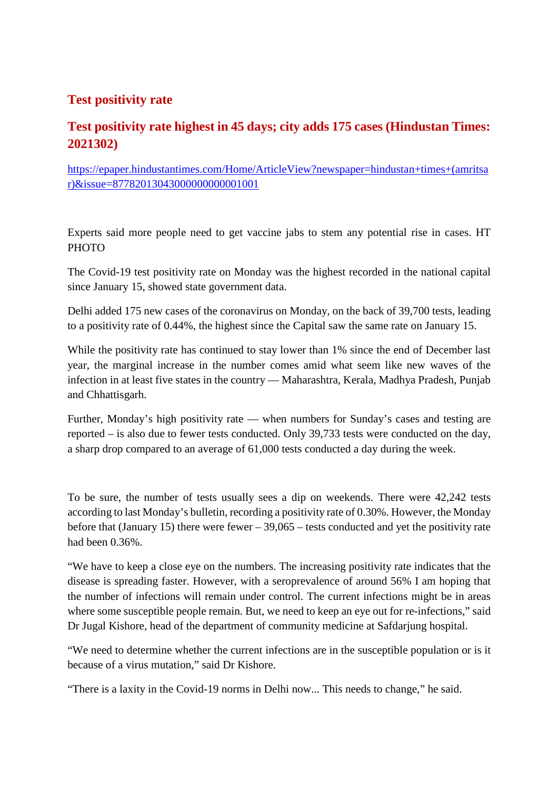### **Test positivity rate**

### **Test positivity rate highest in 45 days; city adds 175 cases (Hindustan Times: 2021302)**

https://epaper.hindustantimes.com/Home/ArticleView?newspaper=hindustan+times+(amritsa r)&issue=87782013043000000000001001

Experts said more people need to get vaccine jabs to stem any potential rise in cases. HT PHOTO

The Covid-19 test positivity rate on Monday was the highest recorded in the national capital since January 15, showed state government data.

Delhi added 175 new cases of the coronavirus on Monday, on the back of 39,700 tests, leading to a positivity rate of 0.44%, the highest since the Capital saw the same rate on January 15.

While the positivity rate has continued to stay lower than 1% since the end of December last year, the marginal increase in the number comes amid what seem like new waves of the infection in at least five states in the country — Maharashtra, Kerala, Madhya Pradesh, Punjab and Chhattisgarh.

Further, Monday's high positivity rate — when numbers for Sunday's cases and testing are reported – is also due to fewer tests conducted. Only 39,733 tests were conducted on the day, a sharp drop compared to an average of 61,000 tests conducted a day during the week.

To be sure, the number of tests usually sees a dip on weekends. There were 42,242 tests according to last Monday's bulletin, recording a positivity rate of 0.30%. However, the Monday before that (January 15) there were fewer – 39,065 – tests conducted and yet the positivity rate had been 0.36%.

"We have to keep a close eye on the numbers. The increasing positivity rate indicates that the disease is spreading faster. However, with a seroprevalence of around 56% I am hoping that the number of infections will remain under control. The current infections might be in areas where some susceptible people remain. But, we need to keep an eye out for re-infections," said Dr Jugal Kishore, head of the department of community medicine at Safdarjung hospital.

"We need to determine whether the current infections are in the susceptible population or is it because of a virus mutation," said Dr Kishore.

"There is a laxity in the Covid-19 norms in Delhi now... This needs to change," he said.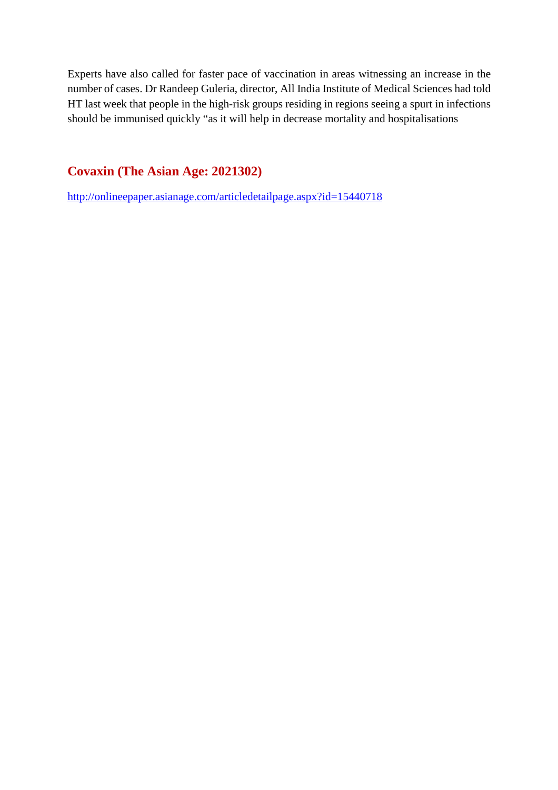Experts have also called for faster pace of vaccination in areas witnessing an increase in the number of cases. Dr Randeep Guleria, director, All India Institute of Medical Sciences had told HT last week that people in the high-risk groups residing in regions seeing a spurt in infections should be immunised quickly "as it will help in decrease mortality and hospitalisations

**Covaxin (The Asian Age: 2021302)**

http://onlineepaper.asianage.com/articledetailpage.aspx?id=15440718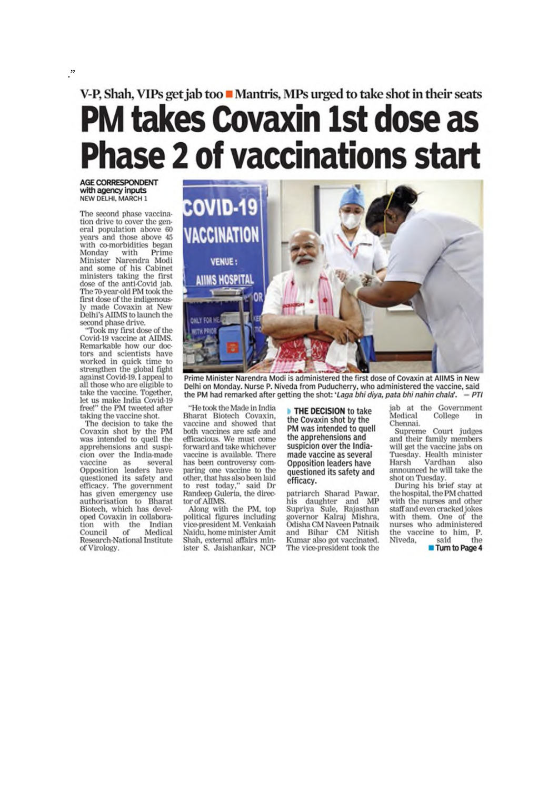## V-P, Shah, VIPs get jab too Mantris, MPs urged to take shot in their seats **PM takes Covaxin 1st dose as Phase 2 of vaccinations start**

**AGE CORRESPONDENT** with agency inputs<br>NEW DELHI, MARCH 1

 $\cdot$ 

The second phase vaccination drive to cover the general population above 60 years and those above 45 with co-morbidities began Monday with Prime Minister Narendra Modi and some of his Cabinet ministers taking the first dose of the anti-Covid jab. The 70-year-old PM took the first dose of the indigenously made Covaxin at New Delhi's AIIMS to launch the second phase drive.

"Took my first dose of the Covid-19 vaccine at AIIMS. Remarkable how our doctors and scientists have worked in quick time to strengthen the global fight against Covid-19, I appeal to all those who are eligible to take the vaccine. Together, let us make India Covid-19 free!" the PM tweeted after taking the vaccine shot.

The decision to take the Covaxin shot by the PM was intended to quell the apprehensions and suspicion over the India-made vaccine as several<br>Opposition leaders have<br>questioned its safety and efficacy. The government has given emergency use authorisation to Bharat<br>Biotech, which has developed Covaxin in collaboration with the Indian<br>Council of Medical Research-National Institute of Virology.



Prime Minister Narendra Modi is administered the first dose of Covaxin at AIIMS in New Delhi on Monday. Nurse P. Niveda from Puducherry, who administered the vaccine, said the PM had remarked after getting the shot: 'Laga bhi diya, pata bhi nahin chala'.  $-PTI$ 

"He took the Made in India Bharat Biotech Covaxin, vaccine and showed that both vaccines are safe and<br>efficacious. We must come forward and take whichever vaccine is available. There has been controversy comparing one vaccine to the other, that has also been laid to rest today," said Dr<br>Randeep Guleria, the director of AIIMS.

Along with the PM, top political figures including<br>vice-president M. Venkaiah Naidu, home minister Amit Shah, external affairs minister S. Jaishankar, NCP

THE DECISION to take the Covaxin shot by the PM was intended to quell the apprehensions and suspicion over the Indiamade vaccine as several **Opposition leaders have** questioned its safety and efficacy.

patriarch Sharad Pawar. his daughter and MP<br>Supriya Sule, Rajasthan governor Kalraj Mishra. Odisha CM Naveen Patnaik and Bihar CM Nitish Kumar also got vaccinated. The vice-president took the

iab at the Government Medical College in Chennai.

Supreme Court judges and their family members will get the vaccine jabs on Tuesday. Health minister Vardhan Harsh also announced he will take the shot on Tuesday.

During his brief stay at the hospital, the PM chatted with the nurses and other staff and even cracked jokes with them. One of the nurses who administered the vaccine to him, P.<br>Niveda, said the

Turn to Page 4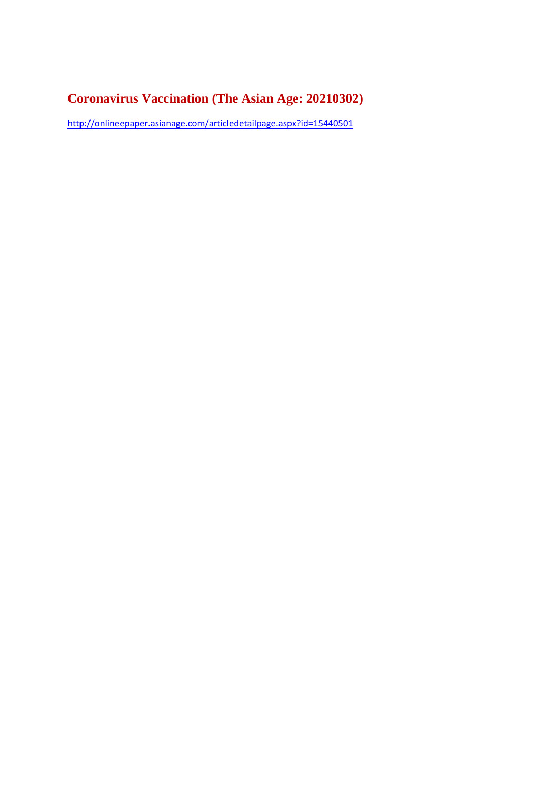### **Coronavirus Vaccination (The Asian Age: 20210302)**

http://onlineepaper.asianage.com/articledetailpage.aspx?id=15440501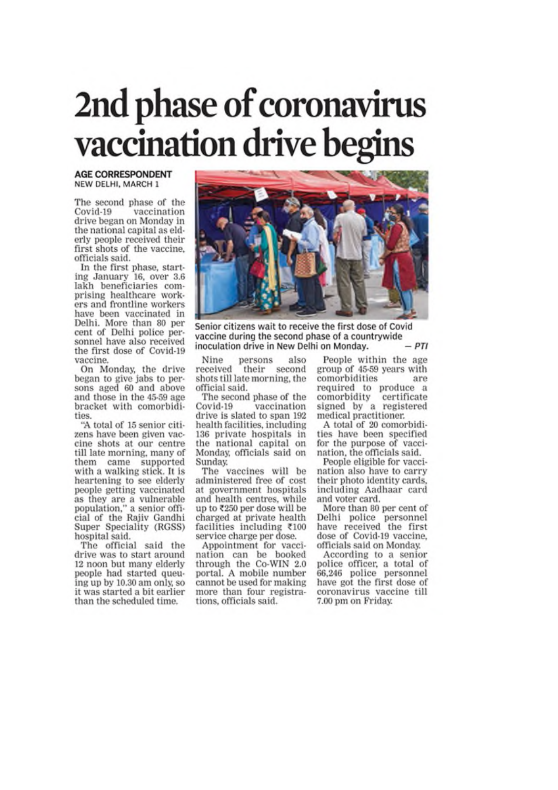# 2nd phase of coronavirus vaccination drive begins

#### **AGE CORRESPONDENT** NEW DELHI, MARCH 1

The second phase of the Covid-19 vaccination drive began on Monday in the national capital as elderly people received their first shots of the vaccine, officials said.

In the first phase, starting January 16, over 3.6 lakh beneficiaries comprising healthcare workers and frontline workers have been vaccinated in Delhi. More than 80 per cent of Delhi police personnel have also received the first dose of Covid-19 vaccine.

On Monday, the drive began to give jabs to persons aged 60 and above and those in the 45-59 age bracket with comorbidities.

"A total of 15 senior citizens have been given vaccine shots at our centre till late morning, many of them came supported with a walking stick. It is heartening to see elderly people getting vaccinated<br>as they are a vulnerable<br>population," a senior official of the Rajiv Gandhi Super Speciality (RGSS) hospital said.

The official said the drive was to start around 12 noon but many elderly people had started queuing up by 10.30 am only, so it was started a bit earlier than the scheduled time.



Senior citizens wait to receive the first dose of Covid vaccine during the second phase of a countrywide inoculation drive in New Delhi on Monday.

persons Nine also received their second shots till late morning, the official said.

The second phase of the Covid-19 vaccination drive is slated to span 192 health facilities, including 136 private hospitals in the national capital on Monday, officials said on Sunday.

The vaccines will be administered free of cost at government hospitals and health centres, while up to ₹250 per dose will be charged at private health facilities including ₹100 service charge per dose.

Appointment for vaccination can be booked through the Co-WIN 2.0 portal. A mobile number cannot be used for making more than four registrations, officials said.

People within the age group of 45-59 years with comorbidities are required to produce a comorbidity certificate signed by a registered medical practitioner.

A total of 20 comorbidities have been specified for the purpose of vaccination, the officials said.

People eligible for vaccination also have to carry their photo identity cards, including Aadhaar card and voter card.

More than 80 per cent of Delhi police personnel<br>have received the first dose of Covid-19 vaccine, officials said on Monday.

According to a senior police officer, a total of 66,246 police personnel<br>have got the first dose of coronavirus vaccine till 7.00 pm on Friday.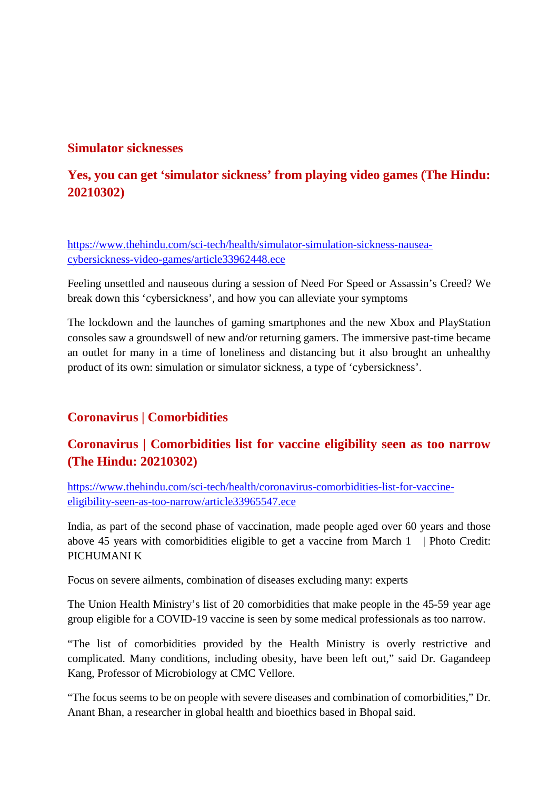### **Simulator sicknesses**

### **Yes, you can get 'simulator sickness' from playing video games (The Hindu: 20210302)**

https://www.thehindu.com/sci-tech/health/simulator-simulation-sickness-nauseacybersickness-video-games/article33962448.ece

Feeling unsettled and nauseous during a session of Need For Speed or Assassin's Creed? We break down this 'cybersickness', and how you can alleviate your symptoms

The lockdown and the launches of gaming smartphones and the new Xbox and PlayStation consoles saw a groundswell of new and/or returning gamers. The immersive past-time became an outlet for many in a time of loneliness and distancing but it also brought an unhealthy product of its own: simulation or simulator sickness, a type of 'cybersickness'.

### **Coronavirus | Comorbidities**

### **Coronavirus | Comorbidities list for vaccine eligibility seen as too narrow (The Hindu: 20210302)**

https://www.thehindu.com/sci-tech/health/coronavirus-comorbidities-list-for-vaccineeligibility-seen-as-too-narrow/article33965547.ece

India, as part of the second phase of vaccination, made people aged over 60 years and those above 45 years with comorbidities eligible to get a vaccine from March 1 | Photo Credit: PICHUMANI K

Focus on severe ailments, combination of diseases excluding many: experts

The Union Health Ministry's list of 20 comorbidities that make people in the 45-59 year age group eligible for a COVID-19 vaccine is seen by some medical professionals as too narrow.

"The list of comorbidities provided by the Health Ministry is overly restrictive and complicated. Many conditions, including obesity, have been left out," said Dr. Gagandeep Kang, Professor of Microbiology at CMC Vellore.

"The focus seems to be on people with severe diseases and combination of comorbidities," Dr. Anant Bhan, a researcher in global health and bioethics based in Bhopal said.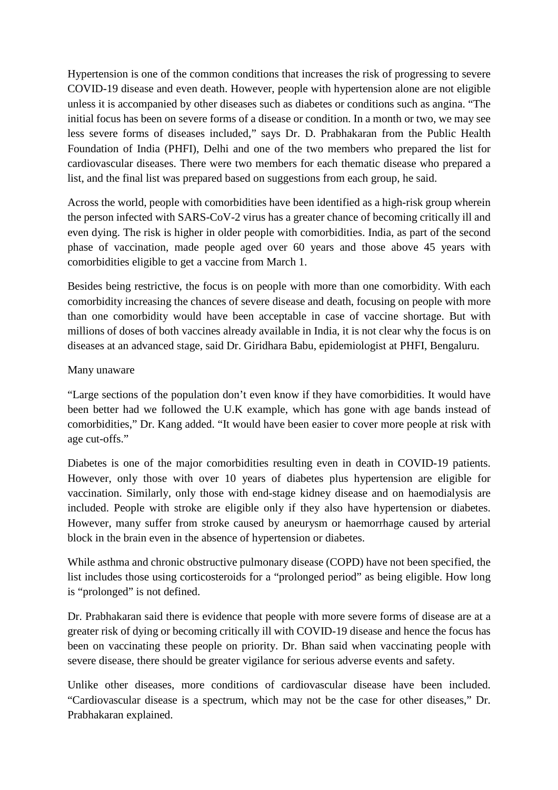Hypertension is one of the common conditions that increases the risk of progressing to severe COVID-19 disease and even death. However, people with hypertension alone are not eligible unless it is accompanied by other diseases such as diabetes or conditions such as angina. "The initial focus has been on severe forms of a disease or condition. In a month or two, we may see less severe forms of diseases included," says Dr. D. Prabhakaran from the Public Health Foundation of India (PHFI), Delhi and one of the two members who prepared the list for cardiovascular diseases. There were two members for each thematic disease who prepared a list, and the final list was prepared based on suggestions from each group, he said.

Across the world, people with comorbidities have been identified as a high-risk group wherein the person infected with SARS-CoV-2 virus has a greater chance of becoming critically ill and even dying. The risk is higher in older people with comorbidities. India, as part of the second phase of vaccination, made people aged over 60 years and those above 45 years with comorbidities eligible to get a vaccine from March 1.

Besides being restrictive, the focus is on people with more than one comorbidity. With each comorbidity increasing the chances of severe disease and death, focusing on people with more than one comorbidity would have been acceptable in case of vaccine shortage. But with millions of doses of both vaccines already available in India, it is not clear why the focus is on diseases at an advanced stage, said Dr. Giridhara Babu, epidemiologist at PHFI, Bengaluru.

### Many unaware

"Large sections of the population don't even know if they have comorbidities. It would have been better had we followed the U.K example, which has gone with age bands instead of comorbidities," Dr. Kang added. "It would have been easier to cover more people at risk with age cut-offs."

Diabetes is one of the major comorbidities resulting even in death in COVID-19 patients. However, only those with over 10 years of diabetes plus hypertension are eligible for vaccination. Similarly, only those with end-stage kidney disease and on haemodialysis are included. People with stroke are eligible only if they also have hypertension or diabetes. However, many suffer from stroke caused by aneurysm or haemorrhage caused by arterial block in the brain even in the absence of hypertension or diabetes.

While asthma and chronic obstructive pulmonary disease (COPD) have not been specified, the list includes those using corticosteroids for a "prolonged period" as being eligible. How long is "prolonged" is not defined.

Dr. Prabhakaran said there is evidence that people with more severe forms of disease are at a greater risk of dying or becoming critically ill with COVID-19 disease and hence the focus has been on vaccinating these people on priority. Dr. Bhan said when vaccinating people with severe disease, there should be greater vigilance for serious adverse events and safety.

Unlike other diseases, more conditions of cardiovascular disease have been included. "Cardiovascular disease is a spectrum, which may not be the case for other diseases," Dr. Prabhakaran explained.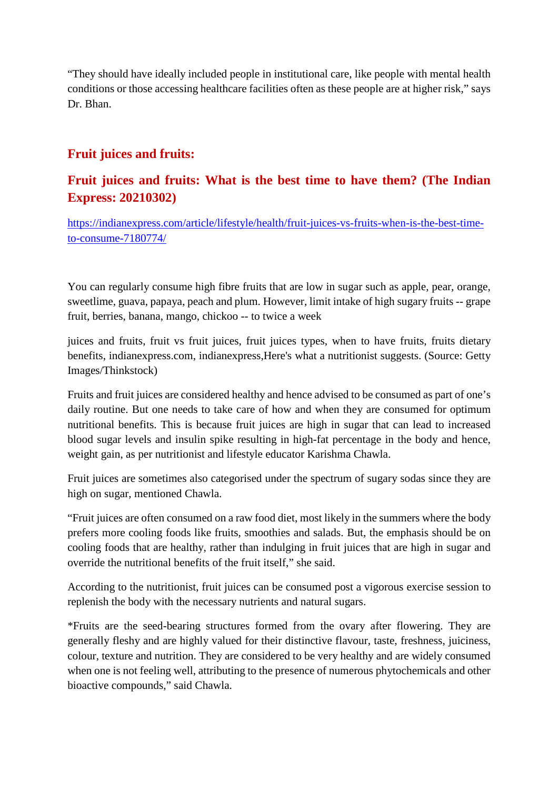"They should have ideally included people in institutional care, like people with mental health conditions or those accessing healthcare facilities often as these people are at higher risk," says Dr. Bhan.

### **Fruit juices and fruits:**

### **Fruit juices and fruits: What is the best time to have them? (The Indian Express: 20210302)**

https://indianexpress.com/article/lifestyle/health/fruit-juices-vs-fruits-when-is-the-best-timeto-consume-7180774/

You can regularly consume high fibre fruits that are low in sugar such as apple, pear, orange, sweetlime, guava, papaya, peach and plum. However, limit intake of high sugary fruits -- grape fruit, berries, banana, mango, chickoo -- to twice a week

juices and fruits, fruit vs fruit juices, fruit juices types, when to have fruits, fruits dietary benefits, indianexpress.com, indianexpress,Here's what a nutritionist suggests. (Source: Getty Images/Thinkstock)

Fruits and fruit juices are considered healthy and hence advised to be consumed as part of one's daily routine. But one needs to take care of how and when they are consumed for optimum nutritional benefits. This is because fruit juices are high in sugar that can lead to increased blood sugar levels and insulin spike resulting in high-fat percentage in the body and hence, weight gain, as per nutritionist and lifestyle educator Karishma Chawla.

Fruit juices are sometimes also categorised under the spectrum of sugary sodas since they are high on sugar, mentioned Chawla.

"Fruit juices are often consumed on a raw food diet, most likely in the summers where the body prefers more cooling foods like fruits, smoothies and salads. But, the emphasis should be on cooling foods that are healthy, rather than indulging in fruit juices that are high in sugar and override the nutritional benefits of the fruit itself," she said.

According to the nutritionist, fruit juices can be consumed post a vigorous exercise session to replenish the body with the necessary nutrients and natural sugars.

\*Fruits are the seed-bearing structures formed from the ovary after flowering. They are generally fleshy and are highly valued for their distinctive flavour, taste, freshness, juiciness, colour, texture and nutrition. They are considered to be very healthy and are widely consumed when one is not feeling well, attributing to the presence of numerous phytochemicals and other bioactive compounds," said Chawla.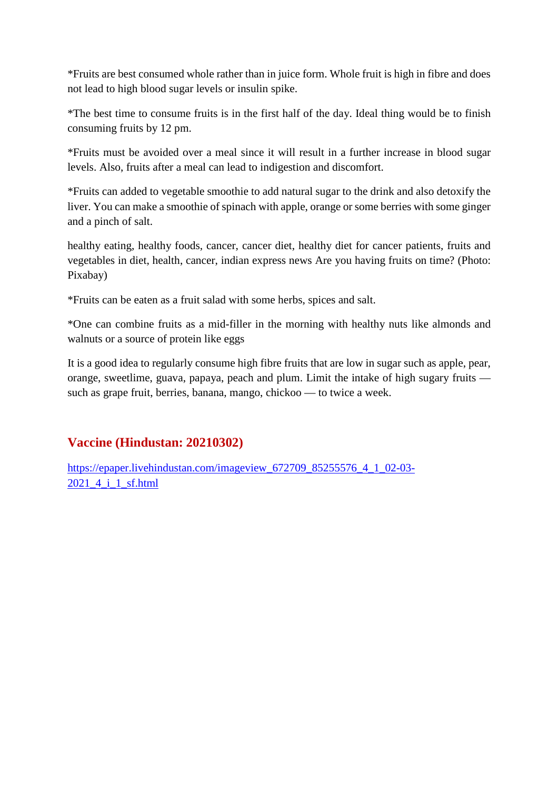\*Fruits are best consumed whole rather than in juice form. Whole fruit is high in fibre and does not lead to high blood sugar levels or insulin spike.

\*The best time to consume fruits is in the first half of the day. Ideal thing would be to finish consuming fruits by 12 pm.

\*Fruits must be avoided over a meal since it will result in a further increase in blood sugar levels. Also, fruits after a meal can lead to indigestion and discomfort.

\*Fruits can added to vegetable smoothie to add natural sugar to the drink and also detoxify the liver. You can make a smoothie of spinach with apple, orange or some berries with some ginger and a pinch of salt.

healthy eating, healthy foods, cancer, cancer diet, healthy diet for cancer patients, fruits and vegetables in diet, health, cancer, indian express news Are you having fruits on time? (Photo: Pixabay)

\*Fruits can be eaten as a fruit salad with some herbs, spices and salt.

\*One can combine fruits as a mid-filler in the morning with healthy nuts like almonds and walnuts or a source of protein like eggs

It is a good idea to regularly consume high fibre fruits that are low in sugar such as apple, pear, orange, sweetlime, guava, papaya, peach and plum. Limit the intake of high sugary fruits such as grape fruit, berries, banana, mango, chickoo — to twice a week.

### **Vaccine (Hindustan: 20210302)**

https://epaper.livehindustan.com/imageview\_672709\_85255576\_4\_1\_02-03-2021\_4\_i\_1\_sf.html